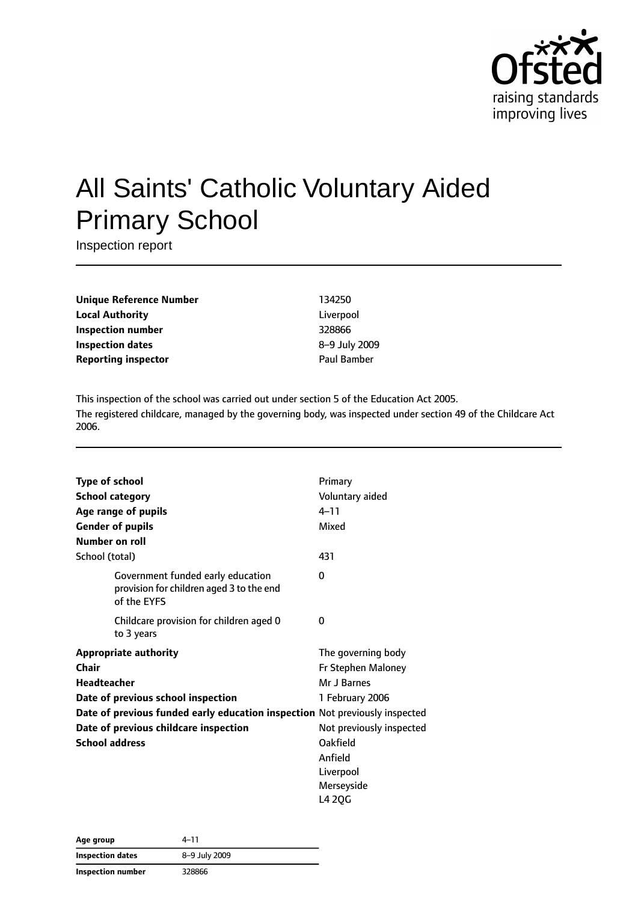

# All Saints' Catholic Voluntary Aided Primary School

Inspection report

**Unique Reference Number** 134250 **Local Authority** Liverpool **Inspection number** 328866 **Inspection dates** 8–9 July 2009 **Reporting inspector CONFIDENTIAL BAMBER** Paul Bamber

This inspection of the school was carried out under section 5 of the Education Act 2005. The registered childcare, managed by the governing body, was inspected under section 49 of the Childcare Act 2006.

| <b>Type of school</b> |                                                                                              | Primary                  |
|-----------------------|----------------------------------------------------------------------------------------------|--------------------------|
|                       | <b>School category</b>                                                                       | Voluntary aided          |
|                       | Age range of pupils                                                                          | $4 - 11$                 |
|                       | <b>Gender of pupils</b>                                                                      | Mixed                    |
|                       | Number on roll                                                                               |                          |
| School (total)        |                                                                                              | 431                      |
|                       | Government funded early education<br>provision for children aged 3 to the end<br>of the EYFS | 0                        |
|                       | Childcare provision for children aged 0<br>to 3 years                                        | 0                        |
|                       | <b>Appropriate authority</b>                                                                 | The governing body       |
| Chair                 |                                                                                              | Fr Stephen Maloney       |
| <b>Headteacher</b>    |                                                                                              | Mr J Barnes              |
|                       | Date of previous school inspection                                                           | 1 February 2006          |
|                       | Date of previous funded early education inspection Not previously inspected                  |                          |
|                       | Date of previous childcare inspection                                                        | Not previously inspected |
|                       | <b>School address</b>                                                                        | Oakfield                 |
|                       |                                                                                              | Anfield                  |
|                       |                                                                                              | Liverpool                |
|                       |                                                                                              | Merseyside               |
|                       |                                                                                              | L4 2QG                   |

| Age group         | 4-11          |  |
|-------------------|---------------|--|
| Inspection dates  | 8-9 July 2009 |  |
| Inspection number | 328866        |  |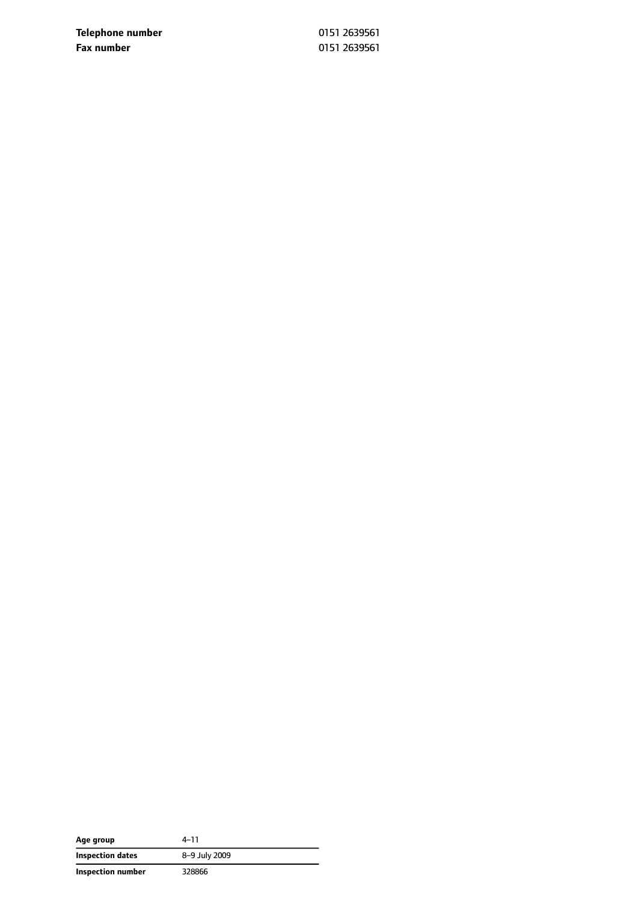**Telephone number** 0151 2639561 **Fax number** 0151 2639561

| Age group         | 4-11          |
|-------------------|---------------|
| Inspection dates  | 8-9 July 2009 |
| Inspection number | 328866        |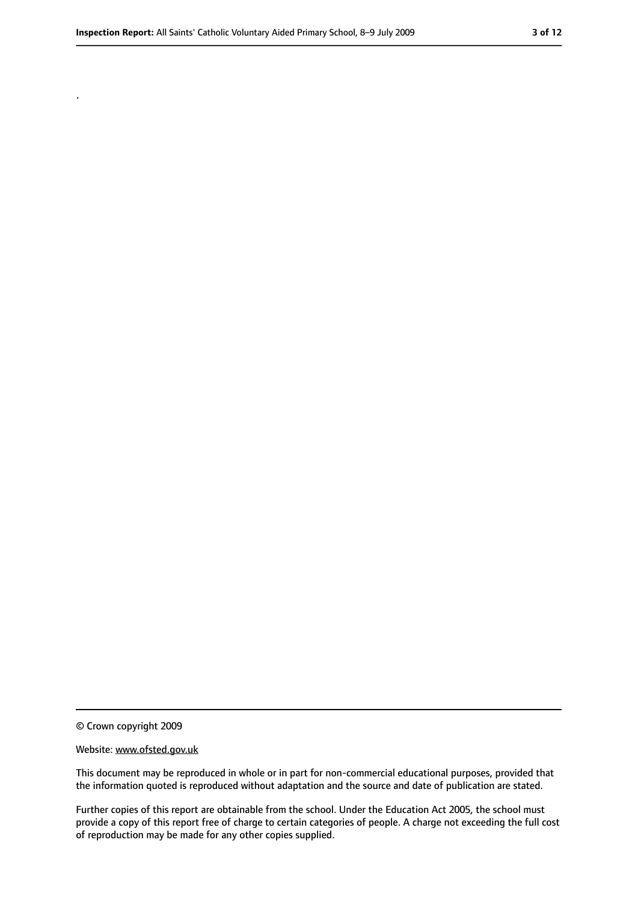.

<sup>©</sup> Crown copyright 2009

Website: www.ofsted.gov.uk

This document may be reproduced in whole or in part for non-commercial educational purposes, provided that the information quoted is reproduced without adaptation and the source and date of publication are stated.

Further copies of this report are obtainable from the school. Under the Education Act 2005, the school must provide a copy of this report free of charge to certain categories of people. A charge not exceeding the full cost of reproduction may be made for any other copies supplied.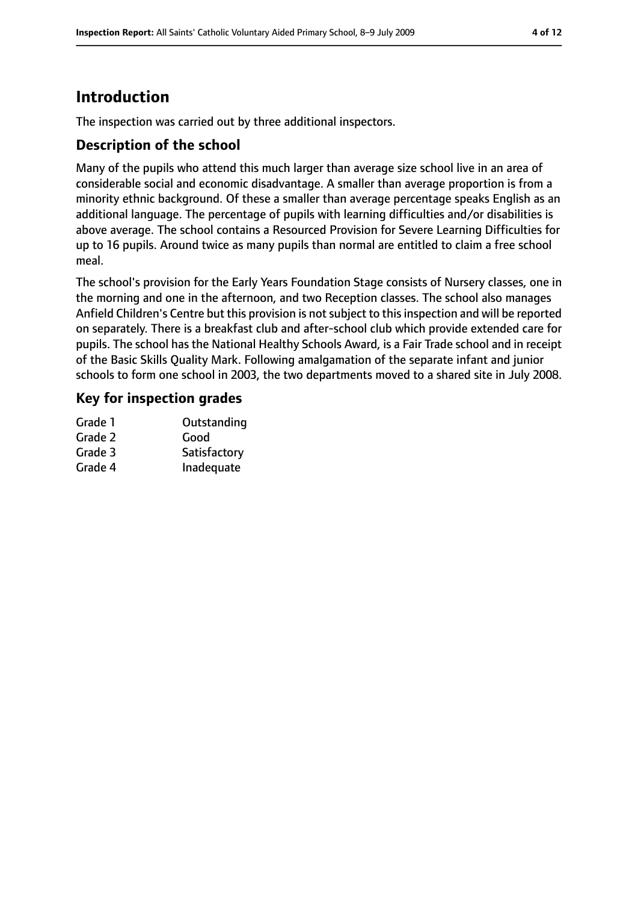# **Introduction**

The inspection was carried out by three additional inspectors.

### **Description of the school**

Many of the pupils who attend this much larger than average size school live in an area of considerable social and economic disadvantage. A smaller than average proportion is from a minority ethnic background. Of these a smaller than average percentage speaks English as an additional language. The percentage of pupils with learning difficulties and/or disabilities is above average. The school contains a Resourced Provision for Severe Learning Difficulties for up to 16 pupils. Around twice as many pupils than normal are entitled to claim a free school meal.

The school's provision for the Early Years Foundation Stage consists of Nursery classes, one in the morning and one in the afternoon, and two Reception classes. The school also manages Anfield Children's Centre but this provision is not subject to this inspection and will be reported on separately. There is a breakfast club and after-school club which provide extended care for pupils. The school has the National Healthy Schools Award, is a Fair Trade school and in receipt of the Basic Skills Quality Mark. Following amalgamation of the separate infant and junior schools to form one school in 2003, the two departments moved to a shared site in July 2008.

### **Key for inspection grades**

| Grade 1 | Outstanding  |
|---------|--------------|
| Grade 2 | Good         |
| Grade 3 | Satisfactory |
| Grade 4 | Inadequate   |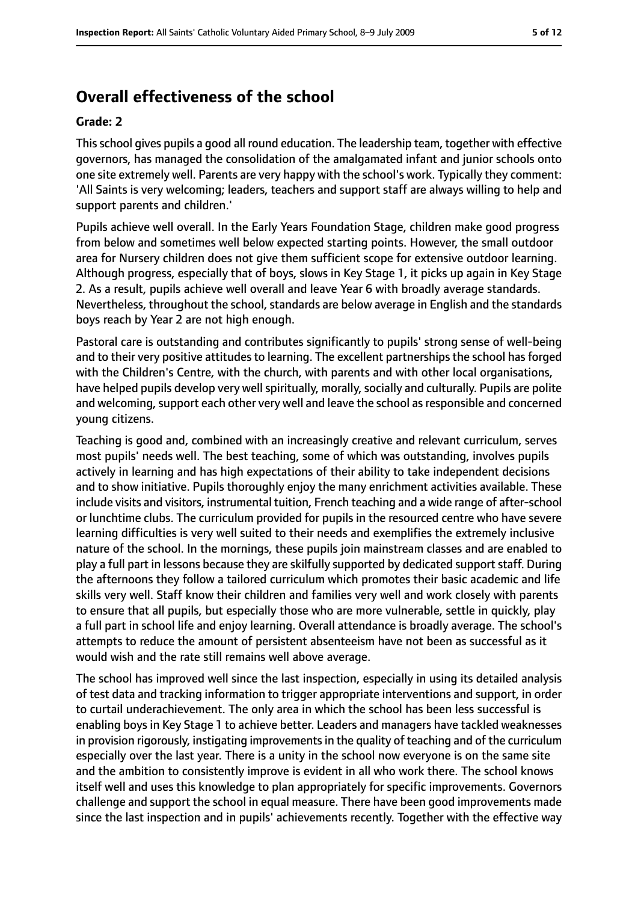# **Overall effectiveness of the school**

#### **Grade: 2**

Thisschool gives pupils a good all round education. The leadership team, together with effective governors, has managed the consolidation of the amalgamated infant and junior schools onto one site extremely well. Parents are very happy with the school's work. Typically they comment: 'All Saints is very welcoming; leaders, teachers and support staff are always willing to help and support parents and children.'

Pupils achieve well overall. In the Early Years Foundation Stage, children make good progress from below and sometimes well below expected starting points. However, the small outdoor area for Nursery children does not give them sufficient scope for extensive outdoor learning. Although progress, especially that of boys, slows in Key Stage 1, it picks up again in Key Stage 2. As a result, pupils achieve well overall and leave Year 6 with broadly average standards. Nevertheless, throughout the school, standards are below average in English and the standards boys reach by Year 2 are not high enough.

Pastoral care is outstanding and contributes significantly to pupils' strong sense of well-being and to their very positive attitudes to learning. The excellent partnerships the school has forged with the Children's Centre, with the church, with parents and with other local organisations, have helped pupils develop very well spiritually, morally, socially and culturally. Pupils are polite and welcoming, support each other very well and leave the school as responsible and concerned young citizens.

Teaching is good and, combined with an increasingly creative and relevant curriculum, serves most pupils' needs well. The best teaching, some of which was outstanding, involves pupils actively in learning and has high expectations of their ability to take independent decisions and to show initiative. Pupils thoroughly enjoy the many enrichment activities available. These include visits and visitors, instrumental tuition, French teaching and a wide range of after-school or lunchtime clubs. The curriculum provided for pupils in the resourced centre who have severe learning difficulties is very well suited to their needs and exemplifies the extremely inclusive nature of the school. In the mornings, these pupils join mainstream classes and are enabled to play a full part in lessons because they are skilfully supported by dedicated support staff. During the afternoons they follow a tailored curriculum which promotes their basic academic and life skills very well. Staff know their children and families very well and work closely with parents to ensure that all pupils, but especially those who are more vulnerable, settle in quickly, play a full part in school life and enjoy learning. Overall attendance is broadly average. The school's attempts to reduce the amount of persistent absenteeism have not been as successful as it would wish and the rate still remains well above average.

The school has improved well since the last inspection, especially in using its detailed analysis of test data and tracking information to trigger appropriate interventions and support, in order to curtail underachievement. The only area in which the school has been less successful is enabling boys in Key Stage 1 to achieve better. Leaders and managers have tackled weaknesses in provision rigorously, instigating improvements in the quality of teaching and of the curriculum especially over the last year. There is a unity in the school now everyone is on the same site and the ambition to consistently improve is evident in all who work there. The school knows itself well and uses this knowledge to plan appropriately for specific improvements. Governors challenge and support the school in equal measure. There have been good improvements made since the last inspection and in pupils' achievements recently. Together with the effective way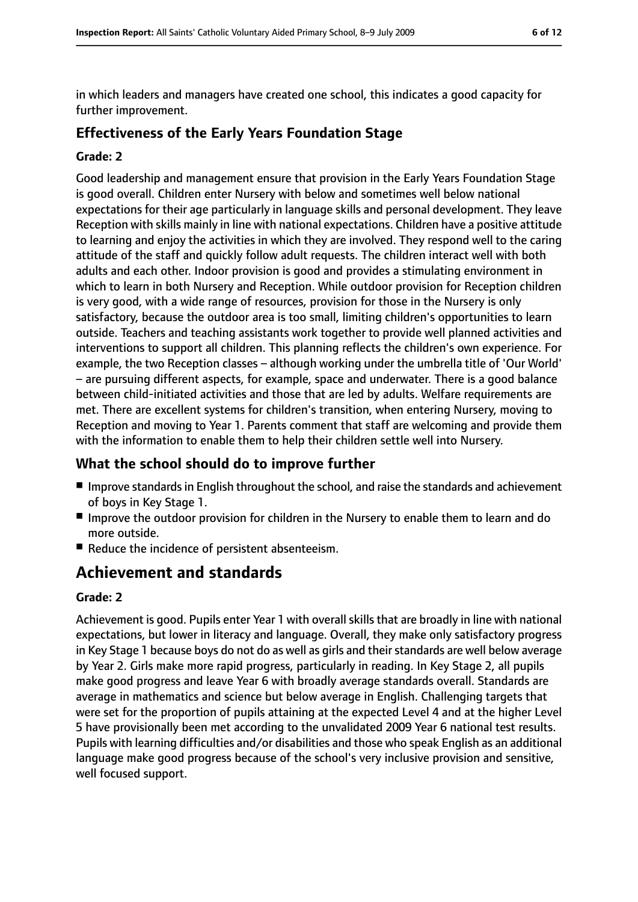in which leaders and managers have created one school, this indicates a good capacity for further improvement.

### **Effectiveness of the Early Years Foundation Stage**

#### **Grade: 2**

Good leadership and management ensure that provision in the Early Years Foundation Stage is good overall. Children enter Nursery with below and sometimes well below national expectations for their age particularly in language skills and personal development. They leave Reception with skills mainly in line with national expectations. Children have a positive attitude to learning and enjoy the activities in which they are involved. They respond well to the caring attitude of the staff and quickly follow adult requests. The children interact well with both adults and each other. Indoor provision is good and provides a stimulating environment in which to learn in both Nursery and Reception. While outdoor provision for Reception children is very good, with a wide range of resources, provision for those in the Nursery is only satisfactory, because the outdoor area is too small, limiting children's opportunities to learn outside. Teachers and teaching assistants work together to provide well planned activities and interventions to support all children. This planning reflects the children's own experience. For example, the two Reception classes – although working under the umbrella title of 'Our World' – are pursuing different aspects, for example, space and underwater. There is a good balance between child-initiated activities and those that are led by adults. Welfare requirements are met. There are excellent systems for children's transition, when entering Nursery, moving to Reception and moving to Year 1. Parents comment that staff are welcoming and provide them with the information to enable them to help their children settle well into Nursery.

### **What the school should do to improve further**

- Improve standards in English throughout the school, and raise the standards and achievement of boys in Key Stage 1.
- Improve the outdoor provision for children in the Nursery to enable them to learn and do more outside.
- Reduce the incidence of persistent absenteeism.

# **Achievement and standards**

#### **Grade: 2**

Achievement is good. Pupils enter Year 1 with overall skills that are broadly in line with national expectations, but lower in literacy and language. Overall, they make only satisfactory progress in Key Stage 1 because boys do not do as well as girls and their standards are well below average by Year 2. Girls make more rapid progress, particularly in reading. In Key Stage 2, all pupils make good progress and leave Year 6 with broadly average standards overall. Standards are average in mathematics and science but below average in English. Challenging targets that were set for the proportion of pupils attaining at the expected Level 4 and at the higher Level 5 have provisionally been met according to the unvalidated 2009 Year 6 national test results. Pupils with learning difficulties and/or disabilities and those who speak English as an additional language make good progress because of the school's very inclusive provision and sensitive, well focused support.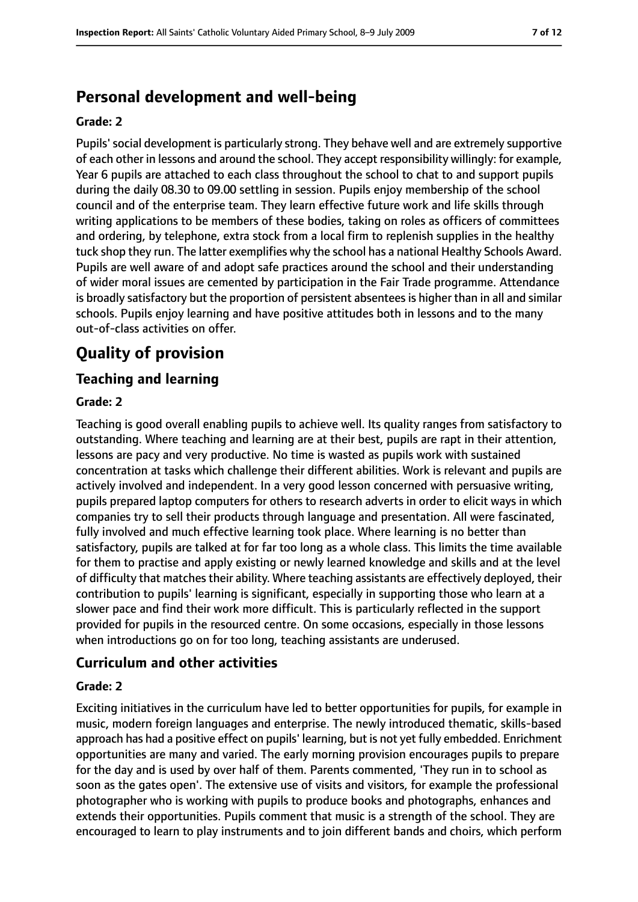# **Personal development and well-being**

#### **Grade: 2**

Pupils'social development is particularly strong. They behave well and are extremely supportive of each other in lessons and around the school. They accept responsibility willingly: for example, Year 6 pupils are attached to each class throughout the school to chat to and support pupils during the daily 08.30 to 09.00 settling in session. Pupils enjoy membership of the school council and of the enterprise team. They learn effective future work and life skills through writing applications to be members of these bodies, taking on roles as officers of committees and ordering, by telephone, extra stock from a local firm to replenish supplies in the healthy tuck shop they run. The latter exemplifies why the school has a national Healthy Schools Award. Pupils are well aware of and adopt safe practices around the school and their understanding of wider moral issues are cemented by participation in the Fair Trade programme. Attendance is broadly satisfactory but the proportion of persistent absentees is higher than in all and similar schools. Pupils enjoy learning and have positive attitudes both in lessons and to the many out-of-class activities on offer.

# **Quality of provision**

### **Teaching and learning**

#### **Grade: 2**

Teaching is good overall enabling pupils to achieve well. Its quality ranges from satisfactory to outstanding. Where teaching and learning are at their best, pupils are rapt in their attention, lessons are pacy and very productive. No time is wasted as pupils work with sustained concentration at tasks which challenge their different abilities. Work is relevant and pupils are actively involved and independent. In a very good lesson concerned with persuasive writing, pupils prepared laptop computers for others to research adverts in order to elicit ways in which companies try to sell their products through language and presentation. All were fascinated, fully involved and much effective learning took place. Where learning is no better than satisfactory, pupils are talked at for far too long as a whole class. This limits the time available for them to practise and apply existing or newly learned knowledge and skills and at the level of difficulty that matches their ability. Where teaching assistants are effectively deployed, their contribution to pupils' learning is significant, especially in supporting those who learn at a slower pace and find their work more difficult. This is particularly reflected in the support provided for pupils in the resourced centre. On some occasions, especially in those lessons when introductions go on for too long, teaching assistants are underused.

#### **Curriculum and other activities**

#### **Grade: 2**

Exciting initiatives in the curriculum have led to better opportunities for pupils, for example in music, modern foreign languages and enterprise. The newly introduced thematic, skills-based approach has had a positive effect on pupils' learning, but is not yet fully embedded. Enrichment opportunities are many and varied. The early morning provision encourages pupils to prepare for the day and is used by over half of them. Parents commented, 'They run in to school as soon as the gates open'. The extensive use of visits and visitors, for example the professional photographer who is working with pupils to produce books and photographs, enhances and extends their opportunities. Pupils comment that music is a strength of the school. They are encouraged to learn to play instruments and to join different bands and choirs, which perform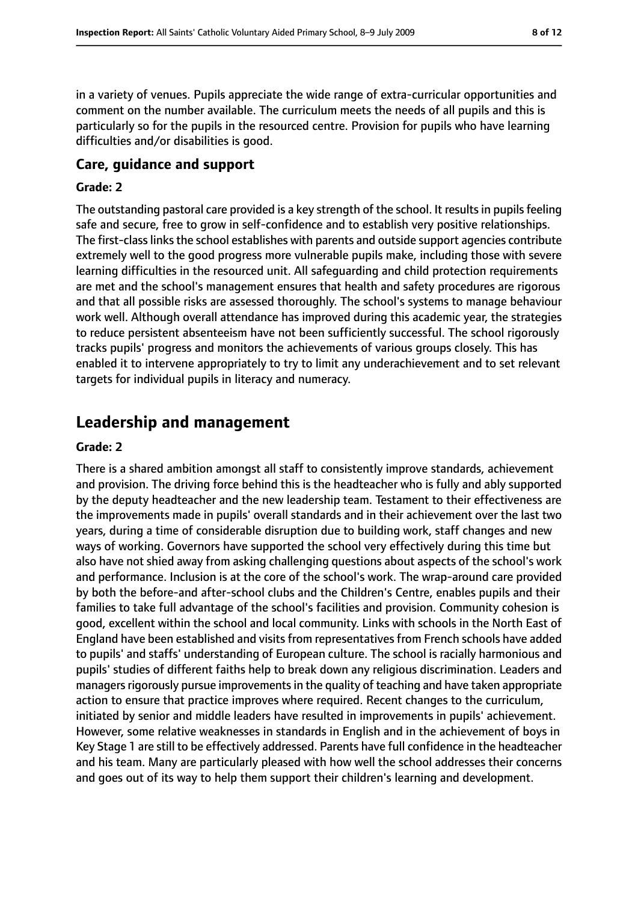in a variety of venues. Pupils appreciate the wide range of extra-curricular opportunities and comment on the number available. The curriculum meets the needs of all pupils and this is particularly so for the pupils in the resourced centre. Provision for pupils who have learning difficulties and/or disabilities is good.

#### **Care, guidance and support**

#### **Grade: 2**

The outstanding pastoral care provided is a key strength of the school. It results in pupils feeling safe and secure, free to grow in self-confidence and to establish very positive relationships. The first-class links the school establishes with parents and outside support agencies contribute extremely well to the good progress more vulnerable pupils make, including those with severe learning difficulties in the resourced unit. All safeguarding and child protection requirements are met and the school's management ensures that health and safety procedures are rigorous and that all possible risks are assessed thoroughly. The school's systems to manage behaviour work well. Although overall attendance has improved during this academic year, the strategies to reduce persistent absenteeism have not been sufficiently successful. The school rigorously tracks pupils' progress and monitors the achievements of various groups closely. This has enabled it to intervene appropriately to try to limit any underachievement and to set relevant targets for individual pupils in literacy and numeracy.

### **Leadership and management**

#### **Grade: 2**

There is a shared ambition amongst all staff to consistently improve standards, achievement and provision. The driving force behind this is the headteacher who is fully and ably supported by the deputy headteacher and the new leadership team. Testament to their effectiveness are the improvements made in pupils' overall standards and in their achievement over the last two years, during a time of considerable disruption due to building work, staff changes and new ways of working. Governors have supported the school very effectively during this time but also have not shied away from asking challenging questions about aspects of the school's work and performance. Inclusion is at the core of the school's work. The wrap-around care provided by both the before-and after-school clubs and the Children's Centre, enables pupils and their families to take full advantage of the school's facilities and provision. Community cohesion is good, excellent within the school and local community. Links with schools in the North East of England have been established and visits from representatives from French schools have added to pupils' and staffs' understanding of European culture. The school is racially harmonious and pupils' studies of different faiths help to break down any religious discrimination. Leaders and managers rigorously pursue improvements in the quality of teaching and have taken appropriate action to ensure that practice improves where required. Recent changes to the curriculum, initiated by senior and middle leaders have resulted in improvements in pupils' achievement. However, some relative weaknesses in standards in English and in the achievement of boys in Key Stage 1 are still to be effectively addressed. Parents have full confidence in the headteacher and his team. Many are particularly pleased with how well the school addresses their concerns and goes out of its way to help them support their children's learning and development.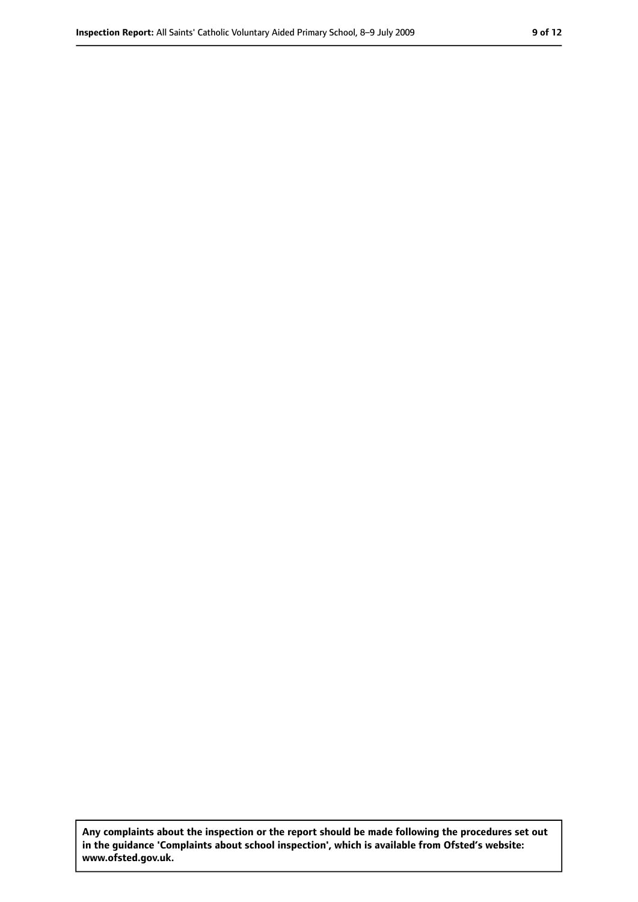**Any complaints about the inspection or the report should be made following the procedures set out in the guidance 'Complaints about school inspection', which is available from Ofsted's website: www.ofsted.gov.uk.**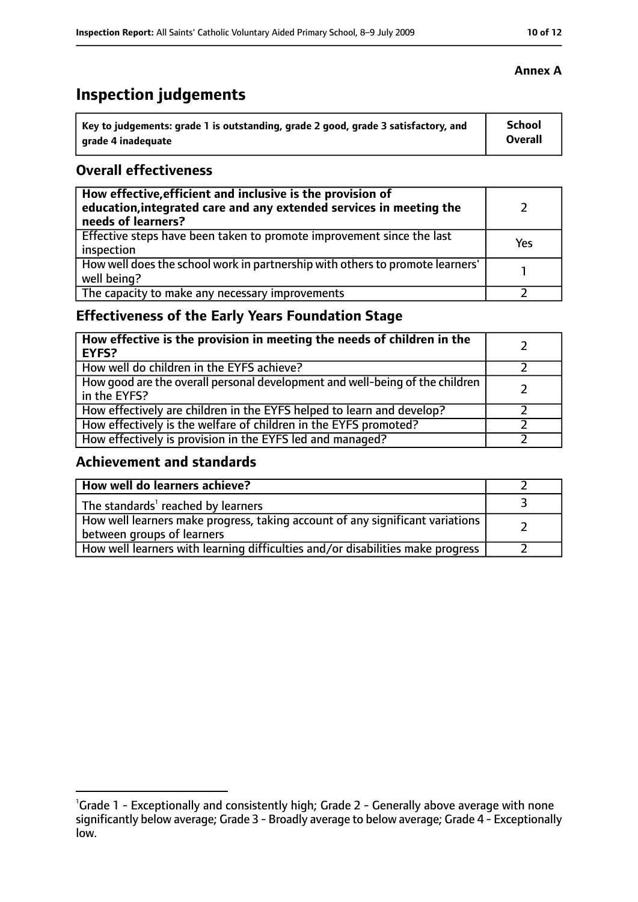# **Inspection judgements**

| Key to judgements: grade 1 is outstanding, grade 2 good, grade 3 satisfactory, and | <b>School</b>  |
|------------------------------------------------------------------------------------|----------------|
| arade 4 inadequate                                                                 | <b>Overall</b> |

### **Overall effectiveness**

| How effective, efficient and inclusive is the provision of<br>education, integrated care and any extended services in meeting the<br>needs of learners? |     |
|---------------------------------------------------------------------------------------------------------------------------------------------------------|-----|
| Effective steps have been taken to promote improvement since the last<br>inspection                                                                     | Yes |
| How well does the school work in partnership with others to promote learners'<br>well being?                                                            |     |
| The capacity to make any necessary improvements                                                                                                         |     |

# **Effectiveness of the Early Years Foundation Stage**

| How effective is the provision in meeting the needs of children in the<br><b>EYFS?</b>       |  |
|----------------------------------------------------------------------------------------------|--|
| How well do children in the EYFS achieve?                                                    |  |
| How good are the overall personal development and well-being of the children<br>in the EYFS? |  |
| How effectively are children in the EYFS helped to learn and develop?                        |  |
| How effectively is the welfare of children in the EYFS promoted?                             |  |
| How effectively is provision in the EYFS led and managed?                                    |  |

### **Achievement and standards**

| How well do learners achieve?                                                                               |  |
|-------------------------------------------------------------------------------------------------------------|--|
| The standards <sup>1</sup> reached by learners                                                              |  |
| How well learners make progress, taking account of any significant variations<br>between groups of learners |  |
| How well learners with learning difficulties and/or disabilities make progress                              |  |

#### **Annex A**

<sup>&</sup>lt;sup>1</sup>Grade 1 - Exceptionally and consistently high; Grade 2 - Generally above average with none significantly below average; Grade 3 - Broadly average to below average; Grade 4 - Exceptionally low.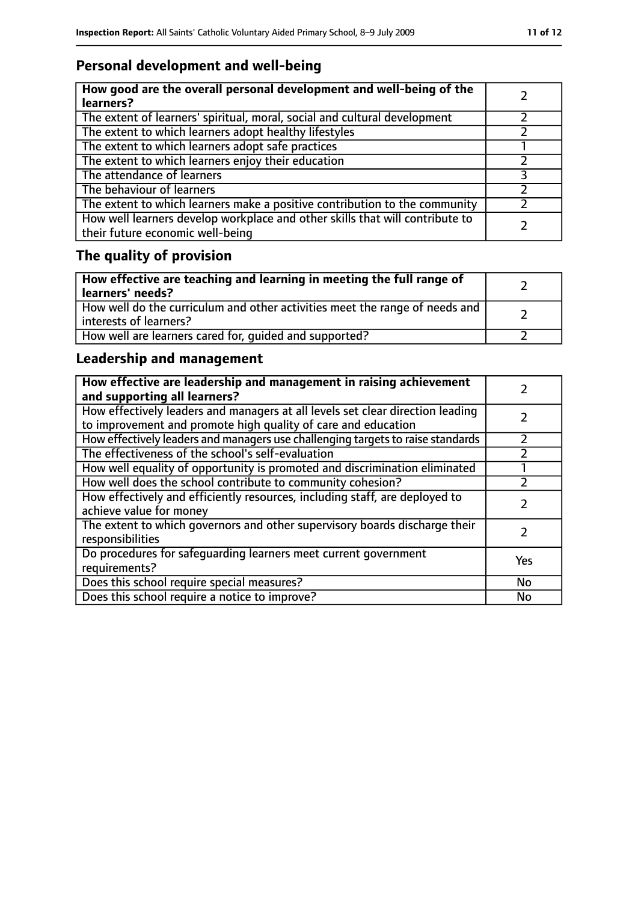# **Personal development and well-being**

| How good are the overall personal development and well-being of the<br>learners?                                 |  |
|------------------------------------------------------------------------------------------------------------------|--|
| The extent of learners' spiritual, moral, social and cultural development                                        |  |
| The extent to which learners adopt healthy lifestyles                                                            |  |
| The extent to which learners adopt safe practices                                                                |  |
| The extent to which learners enjoy their education                                                               |  |
| The attendance of learners                                                                                       |  |
| The behaviour of learners                                                                                        |  |
| The extent to which learners make a positive contribution to the community                                       |  |
| How well learners develop workplace and other skills that will contribute to<br>their future economic well-being |  |

# **The quality of provision**

| How effective are teaching and learning in meeting the full range of<br>learners' needs?              |  |
|-------------------------------------------------------------------------------------------------------|--|
| How well do the curriculum and other activities meet the range of needs and<br>interests of learners? |  |
| How well are learners cared for, quided and supported?                                                |  |

# **Leadership and management**

| How effective are leadership and management in raising achievement<br>and supporting all learners?                                              |     |
|-------------------------------------------------------------------------------------------------------------------------------------------------|-----|
| How effectively leaders and managers at all levels set clear direction leading<br>to improvement and promote high quality of care and education |     |
| How effectively leaders and managers use challenging targets to raise standards                                                                 |     |
| The effectiveness of the school's self-evaluation                                                                                               |     |
| How well equality of opportunity is promoted and discrimination eliminated                                                                      |     |
| How well does the school contribute to community cohesion?                                                                                      |     |
| How effectively and efficiently resources, including staff, are deployed to<br>achieve value for money                                          |     |
| The extent to which governors and other supervisory boards discharge their<br>responsibilities                                                  |     |
| Do procedures for safequarding learners meet current government<br>requirements?                                                                | Yes |
| Does this school require special measures?                                                                                                      | No  |
| Does this school require a notice to improve?                                                                                                   | No  |